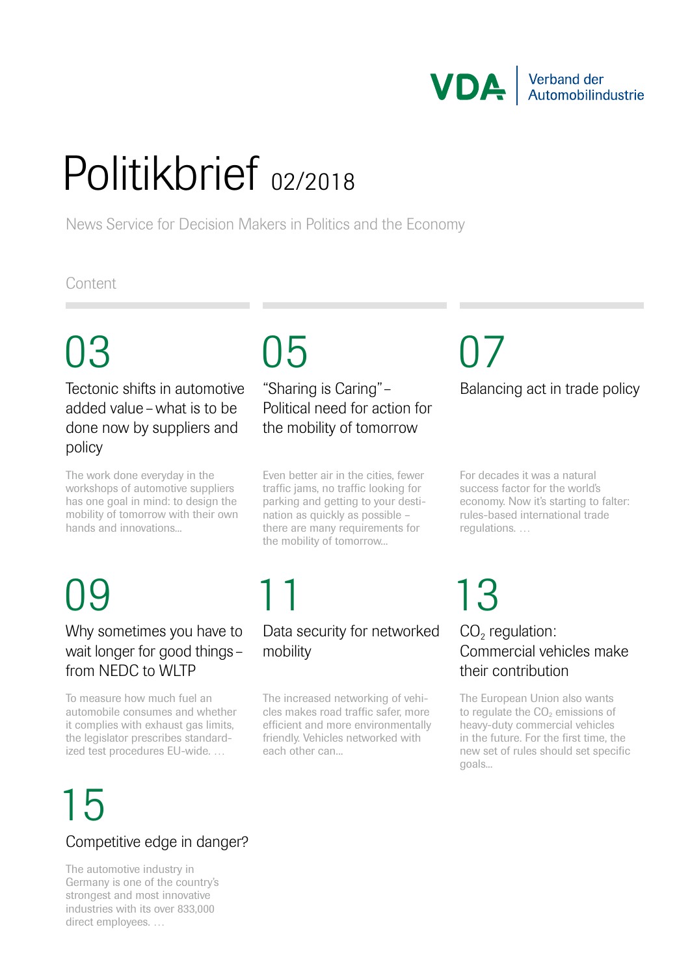

## Politikbrief 02/2018

News Service for Decision Makers in Politics and the Economy

### **Content**

Tectonic shifts in automotive added value –what is to be done now by suppliers and policy

The work done everyday in the workshops of automotive suppliers has one goal in mind: to design the mobility of tomorrow with their own hands and innovations...

### "Sharing is Caring"– Political need for action for the mobility of tomorrow

Even better air in the cities, fewer traffic jams, no traffic looking for parking and getting to your destination as quickly as possible – there are many requirements for the mobility of tomorrow...

### 09

#### Why sometimes you have to wait longer for good things– from NFDC to WLTP

To measure how much fuel an automobile consumes and whether it complies with exhaust gas limits, the legislator prescribes standardized test procedures EU-wide. …

# 15

### Competitive edge in danger?

The automotive industry in Germany is one of the country's strongest and most innovative industries with its over 833,000 direct employees. …

## 11 13

#### Data security for networked mobility

The increased networking of vehicles makes road traffic safer, more efficient and more environmentally friendly. Vehicles networked with each other can...

### Balancing act in trade policy 03 05 07

For decades it was a natural success factor for the world's economy. Now it's starting to falter: rules-based international trade regulations. …

### $CO<sub>2</sub>$  regulation: Commercial vehicles make their contribution

The European Union also wants to regulate the CO<sub>2</sub> emissions of heavy-duty commercial vehicles in the future. For the first time, the new set of rules should set specific goals...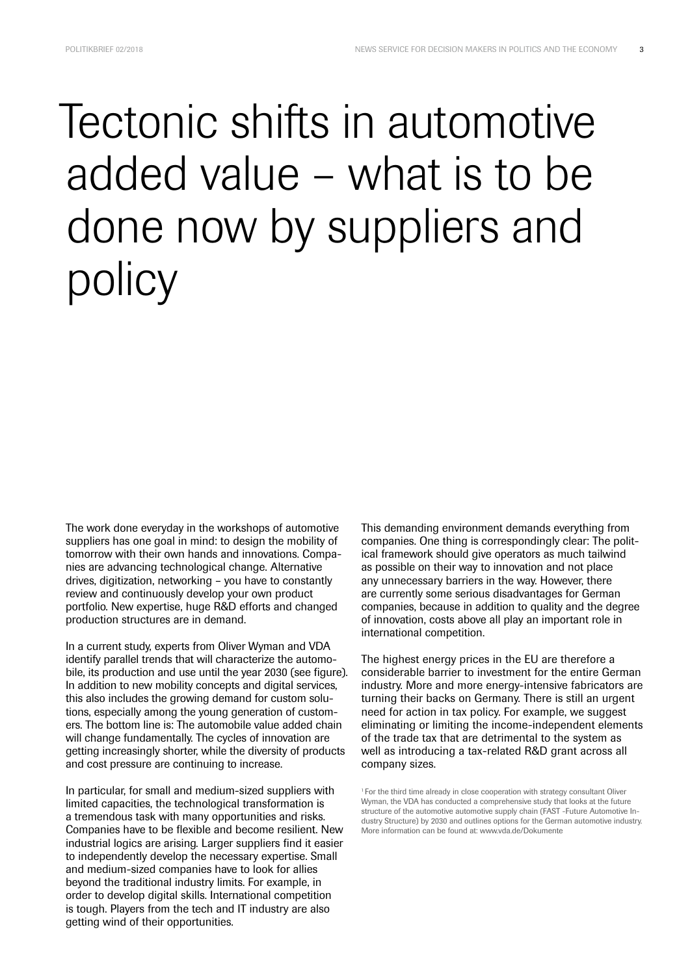### Tectonic shifts in automotive added value – what is to be done now by suppliers and policy

The work done everyday in the workshops of automotive suppliers has one goal in mind: to design the mobility of tomorrow with their own hands and innovations. Companies are advancing technological change. Alternative drives, digitization, networking – you have to constantly review and continuously develop your own product portfolio. New expertise, huge R&D efforts and changed production structures are in demand.

In a current study, experts from Oliver Wyman and VDA identify parallel trends that will characterize the automobile, its production and use until the year 2030 (see figure). In addition to new mobility concepts and digital services, this also includes the growing demand for custom solutions, especially among the young generation of customers. The bottom line is: The automobile value added chain will change fundamentally. The cycles of innovation are getting increasingly shorter, while the diversity of products and cost pressure are continuing to increase.

In particular, for small and medium-sized suppliers with limited capacities, the technological transformation is a tremendous task with many opportunities and risks. Companies have to be flexible and become resilient. New industrial logics are arising. Larger suppliers find it easier to independently develop the necessary expertise. Small and medium-sized companies have to look for allies beyond the traditional industry limits. For example, in order to develop digital skills. International competition is tough. Players from the tech and IT industry are also getting wind of their opportunities.

This demanding environment demands everything from companies. One thing is correspondingly clear: The political framework should give operators as much tailwind as possible on their way to innovation and not place any unnecessary barriers in the way. However, there are currently some serious disadvantages for German companies, because in addition to quality and the degree of innovation, costs above all play an important role in international competition.

The highest energy prices in the EU are therefore a considerable barrier to investment for the entire German industry. More and more energy-intensive fabricators are turning their backs on Germany. There is still an urgent need for action in tax policy. For example, we suggest eliminating or limiting the income-independent elements of the trade tax that are detrimental to the system as well as introducing a tax-related R&D grant across all company sizes.

<sup>1</sup> For the third time already in close cooperation with strategy consultant Oliver Wyman, the VDA has conducted a comprehensive study that looks at the future structure of the automotive automotive supply chain (FAST -Future Automotive Industry Structure) by 2030 and outlines options for the German automotive industry. More information can be found at: www.vda.de/Dokumente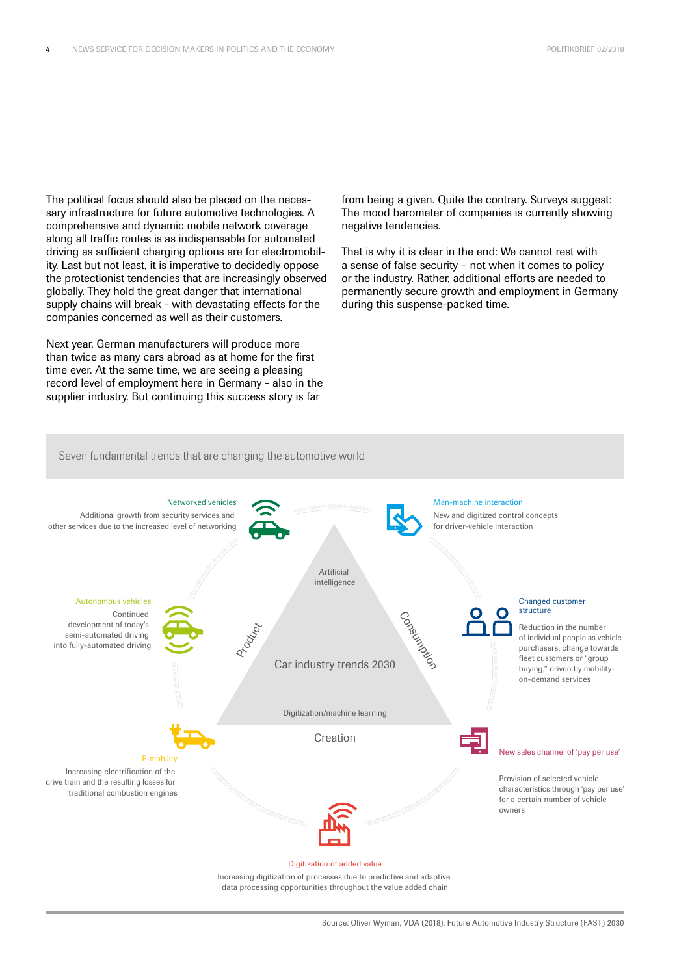The political focus should also be placed on the necessary infrastructure for future automotive technologies. A comprehensive and dynamic mobile network coverage along all traffic routes is as indispensable for automated driving as sufficient charging options are for electromobility. Last but not least, it is imperative to decidedly oppose the protectionist tendencies that are increasingly observed globally. They hold the great danger that international supply chains will break - with devastating effects for the companies concerned as well as their customers.

Next year, German manufacturers will produce more than twice as many cars abroad as at home for the first time ever. At the same time, we are seeing a pleasing record level of employment here in Germany - also in the supplier industry. But continuing this success story is far

from being a given. Quite the contrary. Surveys suggest: The mood barometer of companies is currently showing negative tendencies.

That is why it is clear in the end: We cannot rest with a sense of false security – not when it comes to policy or the industry. Rather, additional efforts are needed to permanently secure growth and employment in Germany during this suspense-packed time.

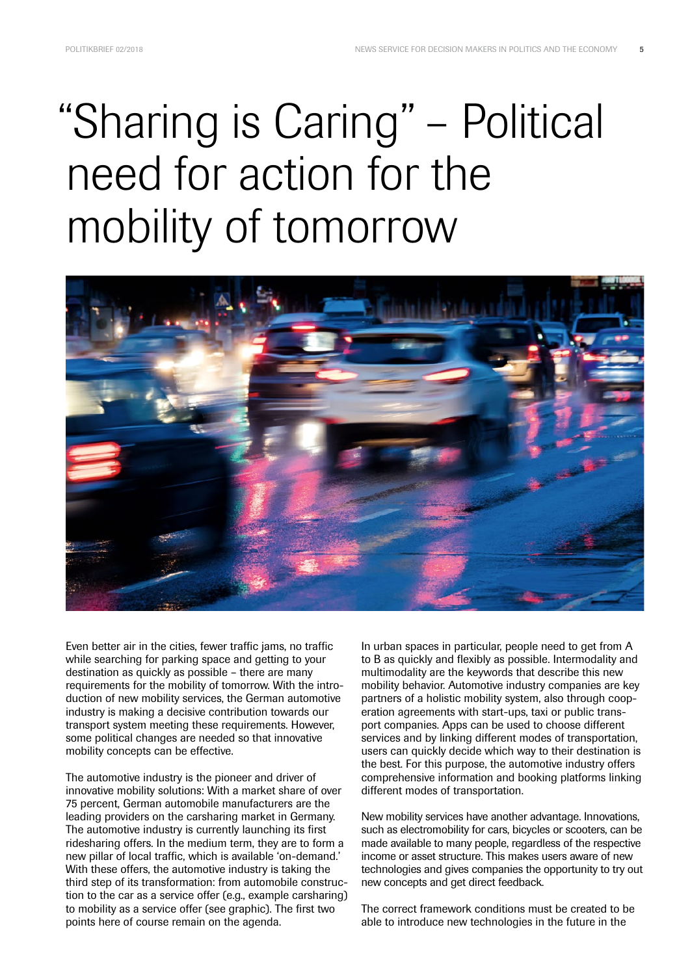## "Sharing is Caring" – Political need for action for the mobility of tomorrow



Even better air in the cities, fewer traffic jams, no traffic while searching for parking space and getting to your destination as quickly as possible – there are many requirements for the mobility of tomorrow. With the introduction of new mobility services, the German automotive industry is making a decisive contribution towards our transport system meeting these requirements. However, some political changes are needed so that innovative mobility concepts can be effective.

The automotive industry is the pioneer and driver of innovative mobility solutions: With a market share of over 75 percent, German automobile manufacturers are the leading providers on the carsharing market in Germany. The automotive industry is currently launching its first ridesharing offers. In the medium term, they are to form a new pillar of local traffic, which is available 'on-demand.' With these offers, the automotive industry is taking the third step of its transformation: from automobile construction to the car as a service offer (e.g., example carsharing) to mobility as a service offer (see graphic). The first two points here of course remain on the agenda.

In urban spaces in particular, people need to get from A to B as quickly and flexibly as possible. Intermodality and multimodality are the keywords that describe this new mobility behavior. Automotive industry companies are key partners of a holistic mobility system, also through cooperation agreements with start-ups, taxi or public transport companies. Apps can be used to choose different services and by linking different modes of transportation, users can quickly decide which way to their destination is the best. For this purpose, the automotive industry offers comprehensive information and booking platforms linking different modes of transportation.

New mobility services have another advantage. Innovations, such as electromobility for cars, bicycles or scooters, can be made available to many people, regardless of the respective income or asset structure. This makes users aware of new technologies and gives companies the opportunity to try out new concepts and get direct feedback.

The correct framework conditions must be created to be able to introduce new technologies in the future in the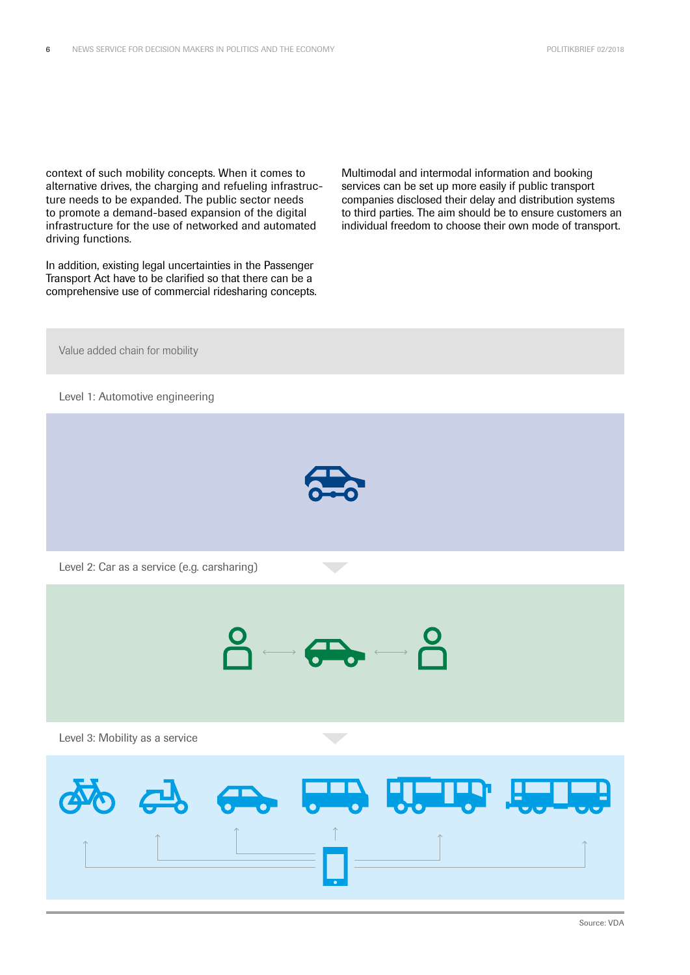context of such mobility concepts. When it comes to alternative drives, the charging and refueling infrastructure needs to be expanded. The public sector needs to promote a demand-based expansion of the digital infrastructure for the use of networked and automated driving functions.

In addition, existing legal uncertainties in the Passenger Transport Act have to be clarified so that there can be a comprehensive use of commercial ridesharing concepts. Multimodal and intermodal information and booking services can be set up more easily if public transport companies disclosed their delay and distribution systems to third parties. The aim should be to ensure customers an individual freedom to choose their own mode of transport.

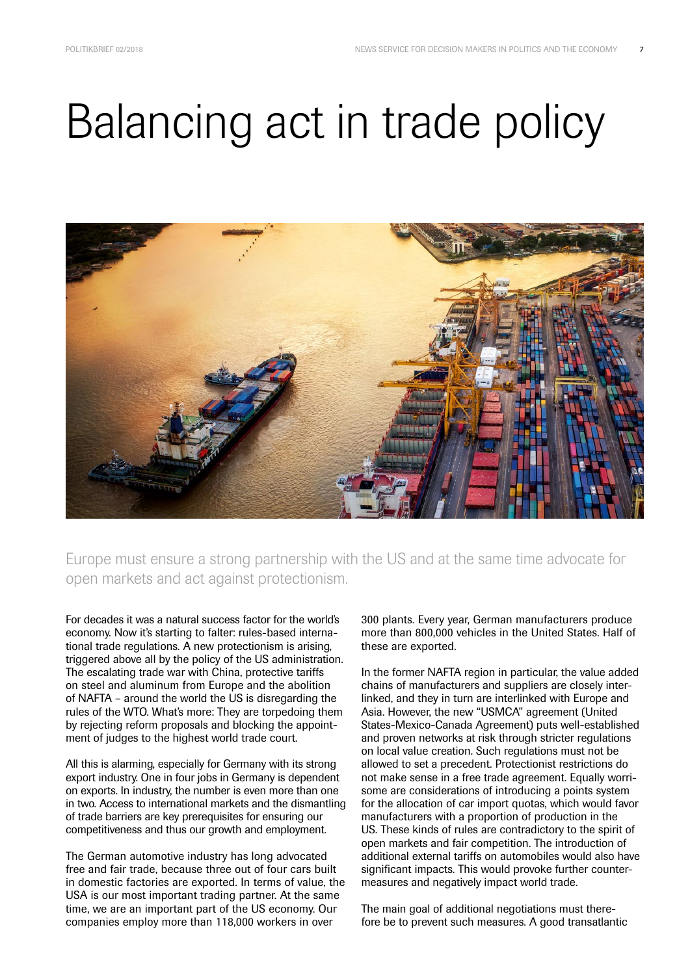## Balancing act in trade policy



Europe must ensure a strong partnership with the US and at the same time advocate for open markets and act against protectionism.

For decades it was a natural success factor for the world's economy. Now it's starting to falter: rules-based international trade regulations. A new protectionism is arising, triggered above all by the policy of the US administration. The escalating trade war with China, protective tariffs on steel and aluminum from Europe and the abolition of NAFTA – around the world the US is disregarding the rules of the WTO. What's more: They are torpedoing them by rejecting reform proposals and blocking the appointment of judges to the highest world trade court.

All this is alarming, especially for Germany with its strong export industry. One in four jobs in Germany is dependent on exports. In industry, the number is even more than one in two. Access to international markets and the dismantling of trade barriers are key prerequisites for ensuring our competitiveness and thus our growth and employment.

The German automotive industry has long advocated free and fair trade, because three out of four cars built in domestic factories are exported. In terms of value, the USA is our most important trading partner. At the same time, we are an important part of the US economy. Our companies employ more than 118,000 workers in over

300 plants. Every year, German manufacturers produce more than 800,000 vehicles in the United States. Half of these are exported.

In the former NAFTA region in particular, the value added chains of manufacturers and suppliers are closely interlinked, and they in turn are interlinked with Europe and Asia. However, the new "USMCA" agreement (United States-Mexico-Canada Agreement) puts well-established and proven networks at risk through stricter regulations on local value creation. Such regulations must not be allowed to set a precedent. Protectionist restrictions do not make sense in a free trade agreement. Equally worrisome are considerations of introducing a points system for the allocation of car import quotas, which would favor manufacturers with a proportion of production in the US. These kinds of rules are contradictory to the spirit of open markets and fair competition. The introduction of additional external tariffs on automobiles would also have significant impacts. This would provoke further countermeasures and negatively impact world trade.

The main goal of additional negotiations must therefore be to prevent such measures. A good transatlantic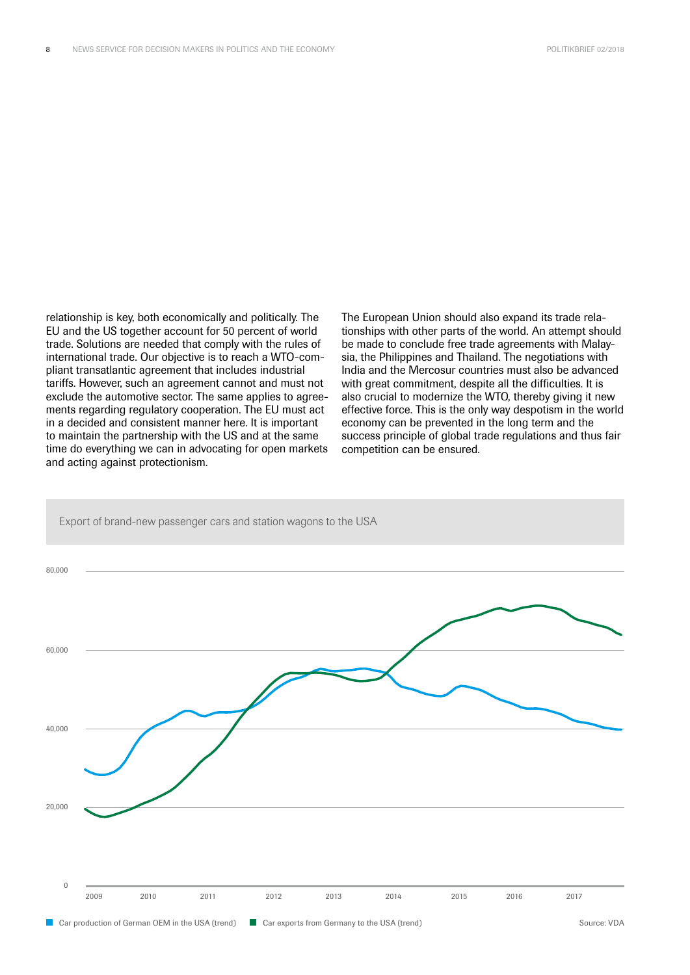relationship is key, both economically and politically. The EU and the US together account for 50 percent of world trade. Solutions are needed that comply with the rules of international trade. Our objective is to reach a WTO-compliant transatlantic agreement that includes industrial tariffs. However, such an agreement cannot and must not exclude the automotive sector. The same applies to agreements regarding regulatory cooperation. The EU must act in a decided and consistent manner here. It is important to maintain the partnership with the US and at the same time do everything we can in advocating for open markets and acting against protectionism.

The European Union should also expand its trade relationships with other parts of the world. An attempt should be made to conclude free trade agreements with Malaysia, the Philippines and Thailand. The negotiations with India and the Mercosur countries must also be advanced with great commitment, despite all the difficulties. It is also crucial to modernize the WTO, thereby giving it new effective force. This is the only way despotism in the world economy can be prevented in the long term and the success principle of global trade regulations and thus fair competition can be ensured.

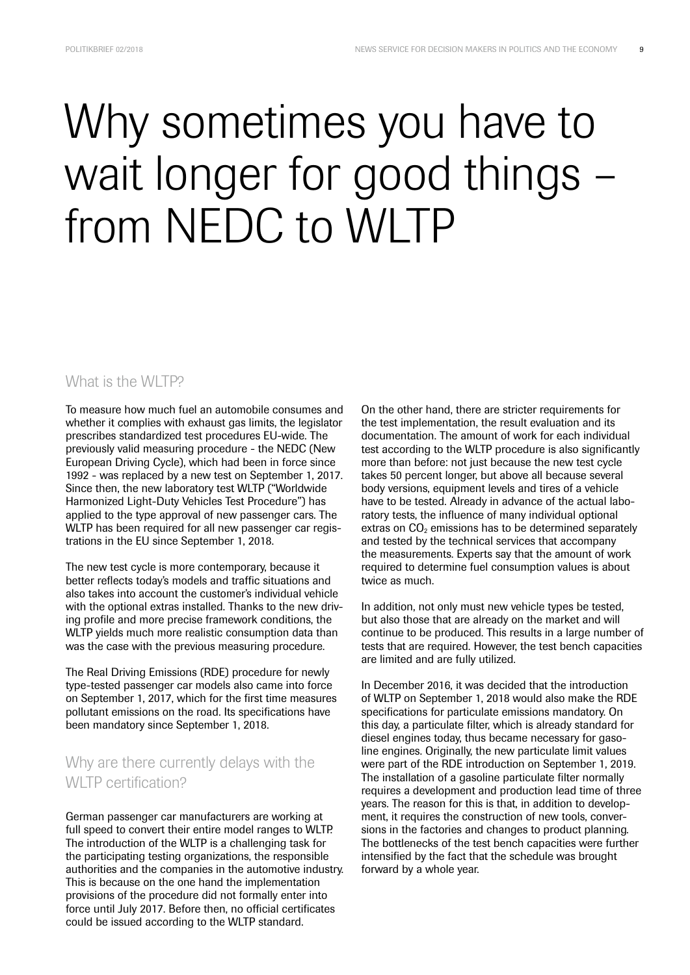### Why sometimes you have to wait longer for good things – from NEDC to WLTP

#### What is the WLTP?

To measure how much fuel an automobile consumes and whether it complies with exhaust gas limits, the legislator prescribes standardized test procedures EU-wide. The previously valid measuring procedure - the NEDC (New European Driving Cycle), which had been in force since 1992 - was replaced by a new test on September 1, 2017. Since then, the new laboratory test WLTP ("Worldwide Harmonized Light-Duty Vehicles Test Procedure") has applied to the type approval of new passenger cars. The WLTP has been required for all new passenger car registrations in the EU since September 1, 2018.

The new test cycle is more contemporary, because it better reflects today's models and traffic situations and also takes into account the customer's individual vehicle with the optional extras installed. Thanks to the new driving profile and more precise framework conditions, the WLTP yields much more realistic consumption data than was the case with the previous measuring procedure.

The Real Driving Emissions (RDE) procedure for newly type-tested passenger car models also came into force on September 1, 2017, which for the first time measures pollutant emissions on the road. Its specifications have been mandatory since September 1, 2018.

#### Why are there currently delays with the WI TP certification?

German passenger car manufacturers are working at full speed to convert their entire model ranges to WLTP. The introduction of the WLTP is a challenging task for the participating testing organizations, the responsible authorities and the companies in the automotive industry. This is because on the one hand the implementation provisions of the procedure did not formally enter into force until July 2017. Before then, no official certificates could be issued according to the WLTP standard.

On the other hand, there are stricter requirements for the test implementation, the result evaluation and its documentation. The amount of work for each individual test according to the WLTP procedure is also significantly more than before: not just because the new test cycle takes 50 percent longer, but above all because several body versions, equipment levels and tires of a vehicle have to be tested. Already in advance of the actual laboratory tests, the influence of many individual optional extras on  $CO<sub>2</sub>$  emissions has to be determined separately and tested by the technical services that accompany the measurements. Experts say that the amount of work required to determine fuel consumption values is about twice as much.

In addition, not only must new vehicle types be tested, but also those that are already on the market and will continue to be produced. This results in a large number of tests that are required. However, the test bench capacities are limited and are fully utilized.

In December 2016, it was decided that the introduction of WLTP on September 1, 2018 would also make the RDE specifications for particulate emissions mandatory. On this day, a particulate filter, which is already standard for diesel engines today, thus became necessary for gasoline engines. Originally, the new particulate limit values were part of the RDE introduction on September 1, 2019. The installation of a gasoline particulate filter normally requires a development and production lead time of three years. The reason for this is that, in addition to development, it requires the construction of new tools, conversions in the factories and changes to product planning. The bottlenecks of the test bench capacities were further intensified by the fact that the schedule was brought forward by a whole year.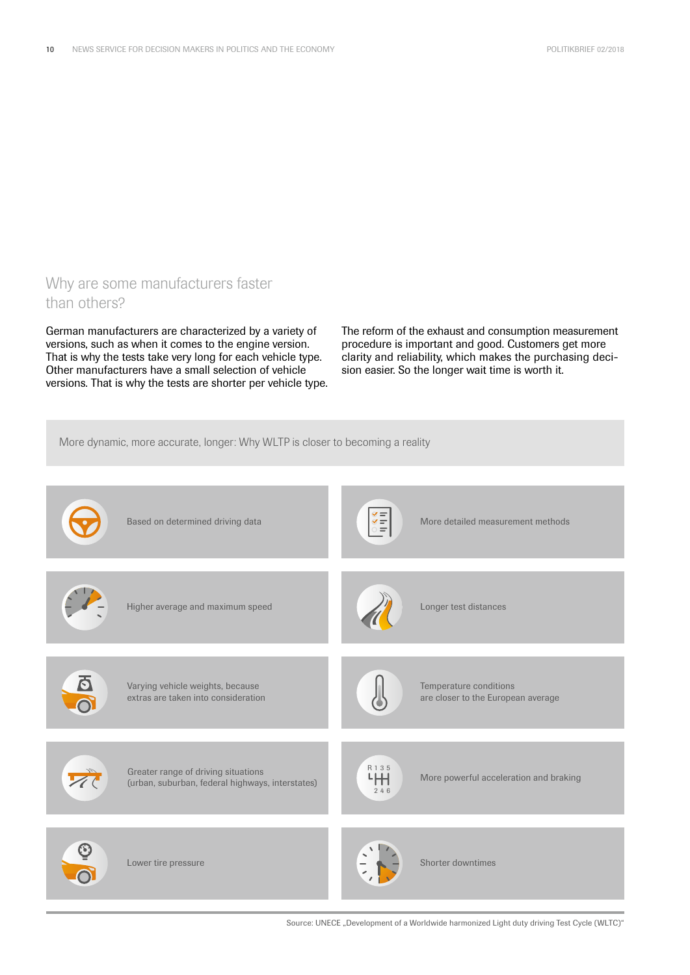#### Why are some manufacturers faster than others?

German manufacturers are characterized by a variety of versions, such as when it comes to the engine version. That is why the tests take very long for each vehicle type. Other manufacturers have a small selection of vehicle versions. That is why the tests are shorter per vehicle type. The reform of the exhaust and consumption measurement procedure is important and good. Customers get more clarity and reliability, which makes the purchasing decision easier. So the longer wait time is worth it.



Source: UNECE "Development of a Worldwide harmonized Light duty driving Test Cycle (WLTC)"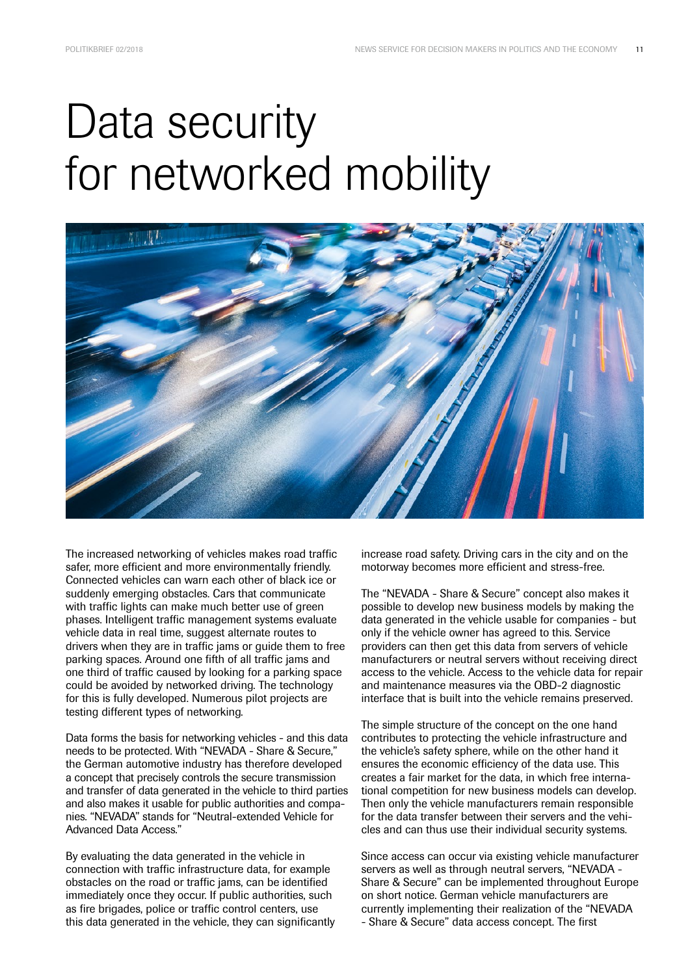### Data security for networked mobility



The increased networking of vehicles makes road traffic safer, more efficient and more environmentally friendly. Connected vehicles can warn each other of black ice or suddenly emerging obstacles. Cars that communicate with traffic lights can make much better use of green phases. Intelligent traffic management systems evaluate vehicle data in real time, suggest alternate routes to drivers when they are in traffic jams or guide them to free parking spaces. Around one fifth of all traffic jams and one third of traffic caused by looking for a parking space could be avoided by networked driving. The technology for this is fully developed. Numerous pilot projects are testing different types of networking.

Data forms the basis for networking vehicles - and this data needs to be protected. With "NEVADA - Share & Secure," the German automotive industry has therefore developed a concept that precisely controls the secure transmission and transfer of data generated in the vehicle to third parties and also makes it usable for public authorities and companies. "NEVADA" stands for "Neutral-extended Vehicle for Advanced Data Access."

By evaluating the data generated in the vehicle in connection with traffic infrastructure data, for example obstacles on the road or traffic jams, can be identified immediately once they occur. If public authorities, such as fire brigades, police or traffic control centers, use this data generated in the vehicle, they can significantly increase road safety. Driving cars in the city and on the motorway becomes more efficient and stress-free.

The "NEVADA - Share & Secure" concept also makes it possible to develop new business models by making the data generated in the vehicle usable for companies - but only if the vehicle owner has agreed to this. Service providers can then get this data from servers of vehicle manufacturers or neutral servers without receiving direct access to the vehicle. Access to the vehicle data for repair and maintenance measures via the OBD-2 diagnostic interface that is built into the vehicle remains preserved.

The simple structure of the concept on the one hand contributes to protecting the vehicle infrastructure and the vehicle's safety sphere, while on the other hand it ensures the economic efficiency of the data use. This creates a fair market for the data, in which free international competition for new business models can develop. Then only the vehicle manufacturers remain responsible for the data transfer between their servers and the vehicles and can thus use their individual security systems.

Since access can occur via existing vehicle manufacturer servers as well as through neutral servers, "NEVADA - Share & Secure" can be implemented throughout Europe on short notice. German vehicle manufacturers are currently implementing their realization of the "NEVADA - Share & Secure" data access concept. The first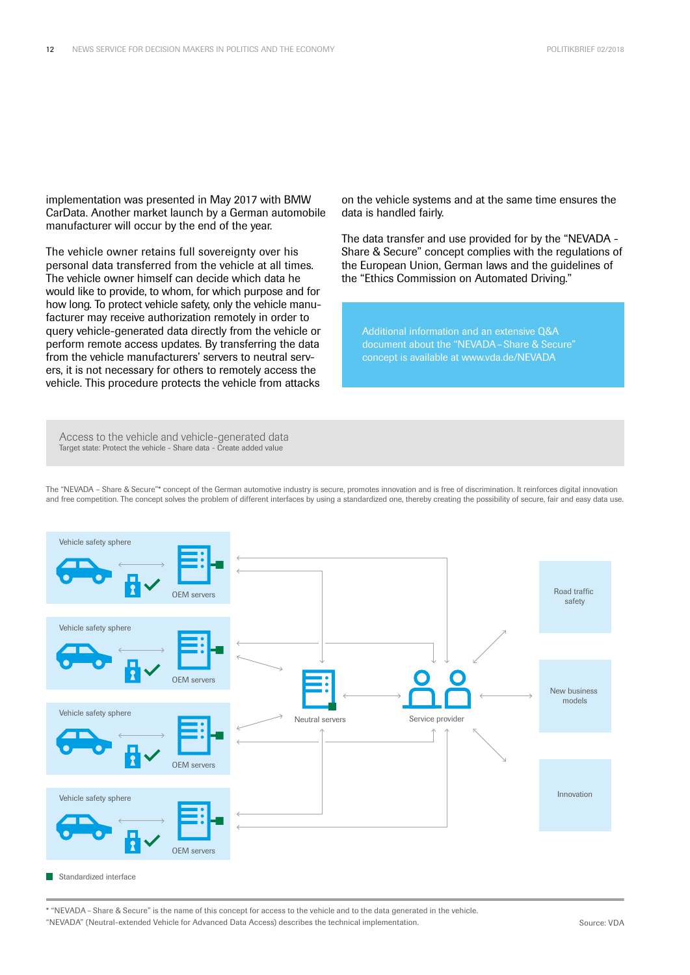implementation was presented in May 2017 with BMW CarData. Another market launch by a German automobile manufacturer will occur by the end of the year.

The vehicle owner retains full sovereignty over his personal data transferred from the vehicle at all times. The vehicle owner himself can decide which data he would like to provide, to whom, for which purpose and for how long. To protect vehicle safety, only the vehicle manufacturer may receive authorization remotely in order to query vehicle-generated data directly from the vehicle or perform remote access updates. By transferring the data from the vehicle manufacturers' servers to neutral servers, it is not necessary for others to remotely access the vehicle. This procedure protects the vehicle from attacks

on the vehicle systems and at the same time ensures the data is handled fairly.

The data transfer and use provided for by the "NEVADA - Share & Secure" concept complies with the regulations of the European Union, German laws and the guidelines of the "Ethics Commission on Automated Driving."

Additional information and an extensive Q&A document about the "NEVADA–Share & Secure" concept is available at www.vda.de/NEVADA

Access to the vehicle and vehicle-generated data<br>Jarget state: Protect the vehicle - Share data - Create added value Target state: Protect the vehicle - Share data - Create added value

The "NEVADA – Share & Secure"\* concept of the German automotive industry is secure, promotes innovation and is free of discrimination. It reinforces digital innovation and free competition. The concept solves the problem of different interfaces by using a standardized one, thereby creating the possibility of secure, fair and easy data use.



Standardized interface

<sup>\* &</sup>quot;NEVADA – Share & Secure" is the name of this concept for access to the vehicle and to the data generated in the vehicle. "NEVADA" (Neutral-extended Vehicle for Advanced Data Access) describes the technical implementation.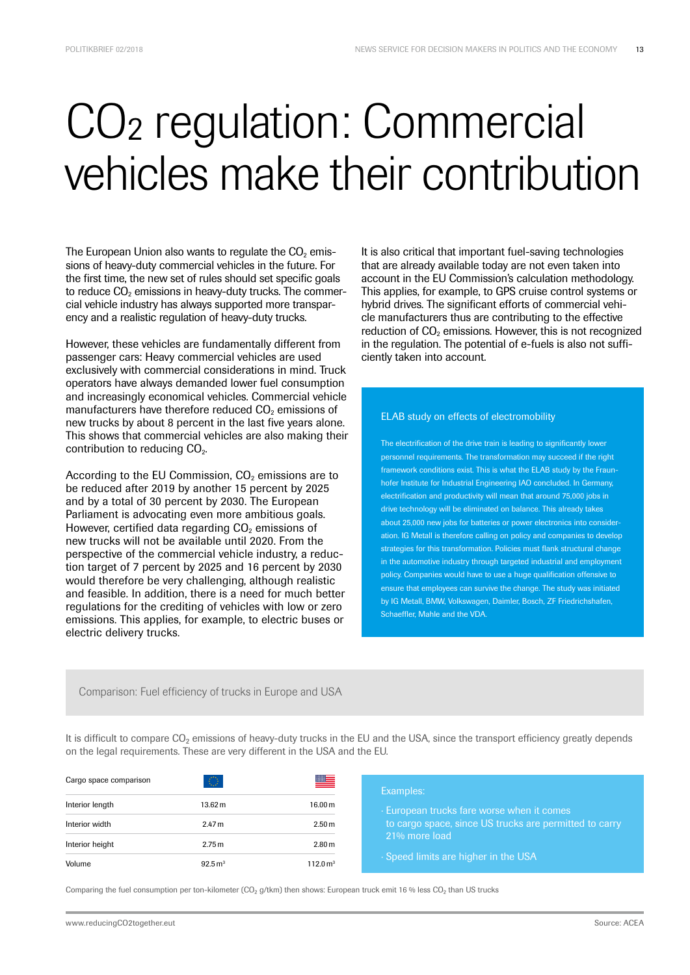### CO2 regulation: Commercial vehicles make their contribution

The European Union also wants to regulate the  $CO<sub>2</sub>$  emissions of heavy-duty commercial vehicles in the future. For the first time, the new set of rules should set specific goals to reduce  $CO<sub>2</sub>$  emissions in heavy-duty trucks. The commercial vehicle industry has always supported more transparency and a realistic regulation of heavy-duty trucks.

However, these vehicles are fundamentally different from passenger cars: Heavy commercial vehicles are used exclusively with commercial considerations in mind. Truck operators have always demanded lower fuel consumption and increasingly economical vehicles. Commercial vehicle manufacturers have therefore reduced  $CO<sub>2</sub>$  emissions of new trucks by about 8 percent in the last five years alone. This shows that commercial vehicles are also making their contribution to reducing CO<sub>2</sub>.

According to the EU Commission,  $CO<sub>2</sub>$  emissions are to be reduced after 2019 by another 15 percent by 2025 and by a total of 30 percent by 2030. The European Parliament is advocating even more ambitious goals. However, certified data regarding  $CO<sub>2</sub>$  emissions of new trucks will not be available until 2020. From the perspective of the commercial vehicle industry, a reduction target of 7 percent by 2025 and 16 percent by 2030 would therefore be very challenging, although realistic and feasible. In addition, there is a need for much better regulations for the crediting of vehicles with low or zero emissions. This applies, for example, to electric buses or electric delivery trucks.

It is also critical that important fuel-saving technologies that are already available today are not even taken into account in the EU Commission's calculation methodology. This applies, for example, to GPS cruise control systems or hybrid drives. The significant efforts of commercial vehicle manufacturers thus are contributing to the effective reduction of  $CO<sub>2</sub>$  emissions. However, this is not recognized in the regulation. The potential of e-fuels is also not sufficiently taken into account.

#### ELAB study on effects of electromobility

The electrification of the drive train is leading to significantly lower personnel requirements. The transformation may succeed if the right framework conditions exist. This is what the ELAB study by the Fraunhofer Institute for Industrial Engineering IAO concluded. In Germany, electrification and productivity will mean that around 75,000 jobs in drive technology will be eliminated on balance. This already takes about 25,000 new jobs for batteries or power electronics into consideration. IG Metall is therefore calling on policy and companies to develop strategies for this transformation. Policies must flank structural change in the automotive industry through targeted industrial and employment policy. Companies would have to use a huge qualification offensive to ensure that employees can survive the change. The study was initiated by IG Metall, BMW, Volkswagen, Daimler, Bosch, ZF Friedrichshafen, Schaeffler, Mahle and the VDA.

Comparison: Fuel efficiency of trucks in Europe and USA

It is difficult to compare CO<sub>2</sub> emissions of heavy-duty trucks in the EU and the USA, since the transport efficiency greatly depends on the legal requirements. These are very different in the USA and the EU.

| Cargo space comparison | $\mathbb{O}$          | ██                     | Examples:                                                                                                                                                   |
|------------------------|-----------------------|------------------------|-------------------------------------------------------------------------------------------------------------------------------------------------------------|
| Interior length        | 13.62 m               | 16.00 m                | European trucks fare worse when it comes<br>to cargo space, since US trucks are permitted to carry<br>21% more load<br>. Speed limits are higher in the USA |
| Interior width         | 2.47 <sub>m</sub>     | 2.50 <sub>m</sub>      |                                                                                                                                                             |
| Interior height        | 2.75 m                | 2.80 <sub>m</sub>      |                                                                                                                                                             |
| Volume                 | $92.5 \,\mathrm{m}^3$ | $112.0 \,\mathrm{m}^3$ |                                                                                                                                                             |

Comparing the fuel consumption per ton-kilometer (CO<sub>2</sub> g/tkm) then shows: European truck emit 16 % less CO<sub>2</sub> than US trucks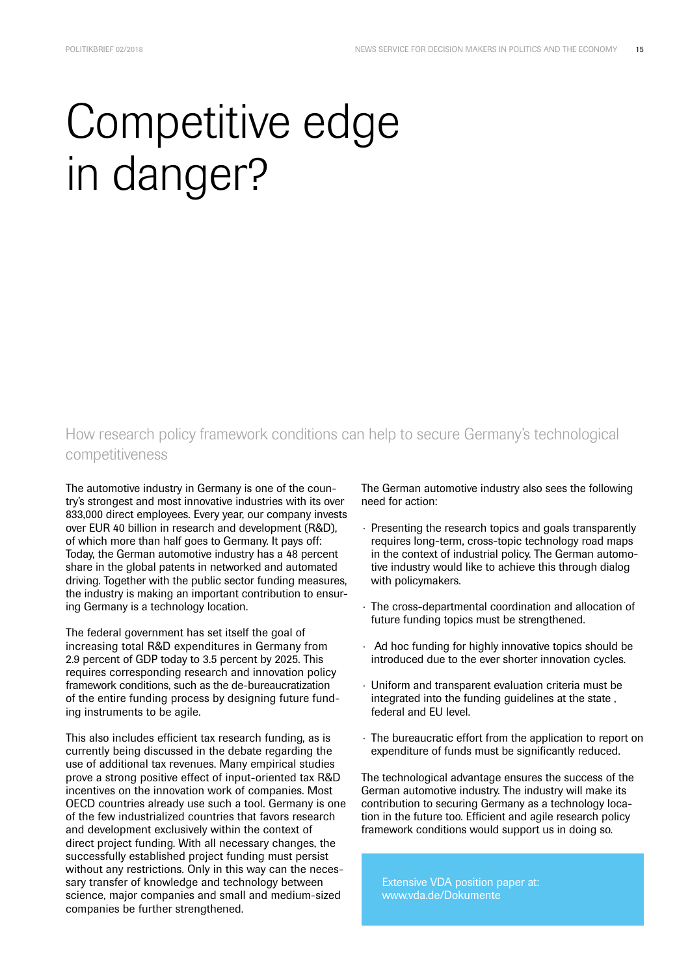## Competitive edge in danger?

#### How research policy framework conditions can help to secure Germany's technological competitiveness

The automotive industry in Germany is one of the country's strongest and most innovative industries with its over 833,000 direct employees. Every year, our company invests over EUR 40 billion in research and development (R&D), of which more than half goes to Germany. It pays off: Today, the German automotive industry has a 48 percent share in the global patents in networked and automated driving. Together with the public sector funding measures, the industry is making an important contribution to ensuring Germany is a technology location.

The federal government has set itself the goal of increasing total R&D expenditures in Germany from 2.9 percent of GDP today to 3.5 percent by 2025. This requires corresponding research and innovation policy framework conditions, such as the de-bureaucratization of the entire funding process by designing future funding instruments to be agile.

This also includes efficient tax research funding, as is currently being discussed in the debate regarding the use of additional tax revenues. Many empirical studies prove a strong positive effect of input-oriented tax R&D incentives on the innovation work of companies. Most OECD countries already use such a tool. Germany is one of the few industrialized countries that favors research and development exclusively within the context of direct project funding. With all necessary changes, the successfully established project funding must persist without any restrictions. Only in this way can the necessary transfer of knowledge and technology between science, major companies and small and medium-sized companies be further strengthened.

The German automotive industry also sees the following need for action:

- · Presenting the research topics and goals transparently requires long-term, cross-topic technology road maps in the context of industrial policy. The German automotive industry would like to achieve this through dialog with policymakers.
- · The cross-departmental coordination and allocation of future funding topics must be strengthened.
- · Ad hoc funding for highly innovative topics should be introduced due to the ever shorter innovation cycles.
- Uniform and transparent evaluation criteria must be integrated into the funding guidelines at the state , federal and EU level.
- · The bureaucratic effort from the application to report on expenditure of funds must be significantly reduced.

The technological advantage ensures the success of the German automotive industry. The industry will make its contribution to securing Germany as a technology location in the future too. Efficient and agile research policy framework conditions would support us in doing so.

Extensive VDA position paper at: www.vda.de/Dokumente